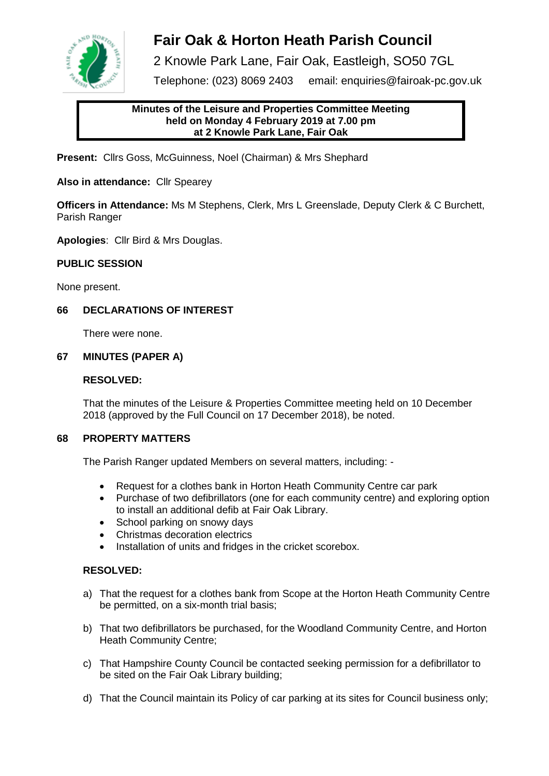

# **Fair Oak & Horton Heath Parish Council**

2 Knowle Park Lane, Fair Oak, Eastleigh, SO50 7GL

Telephone: (023) 8069 2403 email: enquiries@fairoak-pc.gov.uk

# **Minutes of the Leisure and Properties Committee Meeting held on Monday 4 February 2019 at 7.00 pm at 2 Knowle Park Lane, Fair Oak**

**Present:** Cllrs Goss, McGuinness, Noel (Chairman) & Mrs Shephard

**Also in attendance:** Cllr Spearey

**Officers in Attendance:** Ms M Stephens, Clerk, Mrs L Greenslade, Deputy Clerk & C Burchett, Parish Ranger

**Apologies**: Cllr Bird & Mrs Douglas.

# **PUBLIC SESSION**

None present.

# **66 DECLARATIONS OF INTEREST**

There were none.

# **67 MINUTES (PAPER A)**

# **RESOLVED:**

That the minutes of the Leisure & Properties Committee meeting held on 10 December 2018 (approved by the Full Council on 17 December 2018), be noted.

# **68 PROPERTY MATTERS**

The Parish Ranger updated Members on several matters, including: -

- Request for a clothes bank in Horton Heath Community Centre car park
- Purchase of two defibrillators (one for each community centre) and exploring option to install an additional defib at Fair Oak Library.
- School parking on snowy days
- Christmas decoration electrics
- Installation of units and fridges in the cricket scorebox.

# **RESOLVED:**

- a) That the request for a clothes bank from Scope at the Horton Heath Community Centre be permitted, on a six-month trial basis;
- b) That two defibrillators be purchased, for the Woodland Community Centre, and Horton Heath Community Centre;
- c) That Hampshire County Council be contacted seeking permission for a defibrillator to be sited on the Fair Oak Library building;
- d) That the Council maintain its Policy of car parking at its sites for Council business only;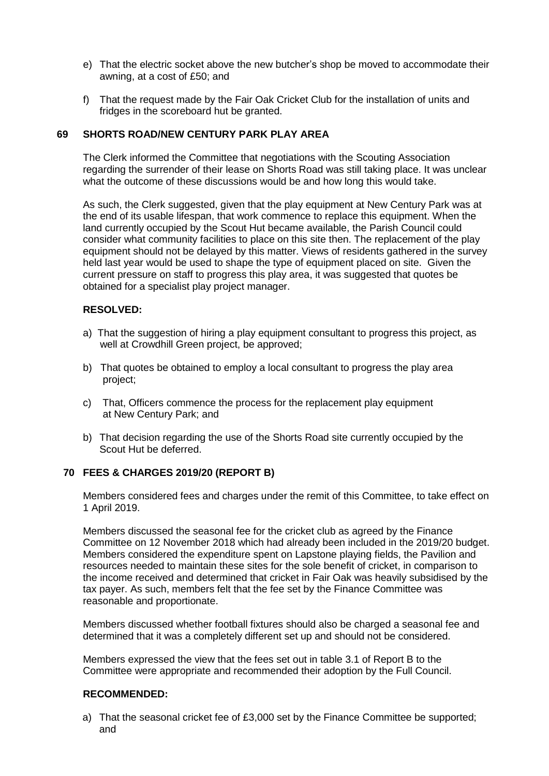- e) That the electric socket above the new butcher's shop be moved to accommodate their awning, at a cost of £50; and
- f) That the request made by the Fair Oak Cricket Club for the installation of units and fridges in the scoreboard hut be granted.

#### **69 SHORTS ROAD/NEW CENTURY PARK PLAY AREA**

The Clerk informed the Committee that negotiations with the Scouting Association regarding the surrender of their lease on Shorts Road was still taking place. It was unclear what the outcome of these discussions would be and how long this would take.

As such, the Clerk suggested, given that the play equipment at New Century Park was at the end of its usable lifespan, that work commence to replace this equipment. When the land currently occupied by the Scout Hut became available, the Parish Council could consider what community facilities to place on this site then. The replacement of the play equipment should not be delayed by this matter. Views of residents gathered in the survey held last year would be used to shape the type of equipment placed on site. Given the current pressure on staff to progress this play area, it was suggested that quotes be obtained for a specialist play project manager.

#### **RESOLVED:**

- a) That the suggestion of hiring a play equipment consultant to progress this project, as well at Crowdhill Green project, be approved;
- b) That quotes be obtained to employ a local consultant to progress the play area project;
- c) That, Officers commence the process for the replacement play equipment at New Century Park; and
- b) That decision regarding the use of the Shorts Road site currently occupied by the Scout Hut be deferred.

#### **70 FEES & CHARGES 2019/20 (REPORT B)**

Members considered fees and charges under the remit of this Committee, to take effect on 1 April 2019.

Members discussed the seasonal fee for the cricket club as agreed by the Finance Committee on 12 November 2018 which had already been included in the 2019/20 budget. Members considered the expenditure spent on Lapstone playing fields, the Pavilion and resources needed to maintain these sites for the sole benefit of cricket, in comparison to the income received and determined that cricket in Fair Oak was heavily subsidised by the tax payer. As such, members felt that the fee set by the Finance Committee was reasonable and proportionate.

Members discussed whether football fixtures should also be charged a seasonal fee and determined that it was a completely different set up and should not be considered.

Members expressed the view that the fees set out in table 3.1 of Report B to the Committee were appropriate and recommended their adoption by the Full Council.

### **RECOMMENDED:**

a) That the seasonal cricket fee of £3,000 set by the Finance Committee be supported; and